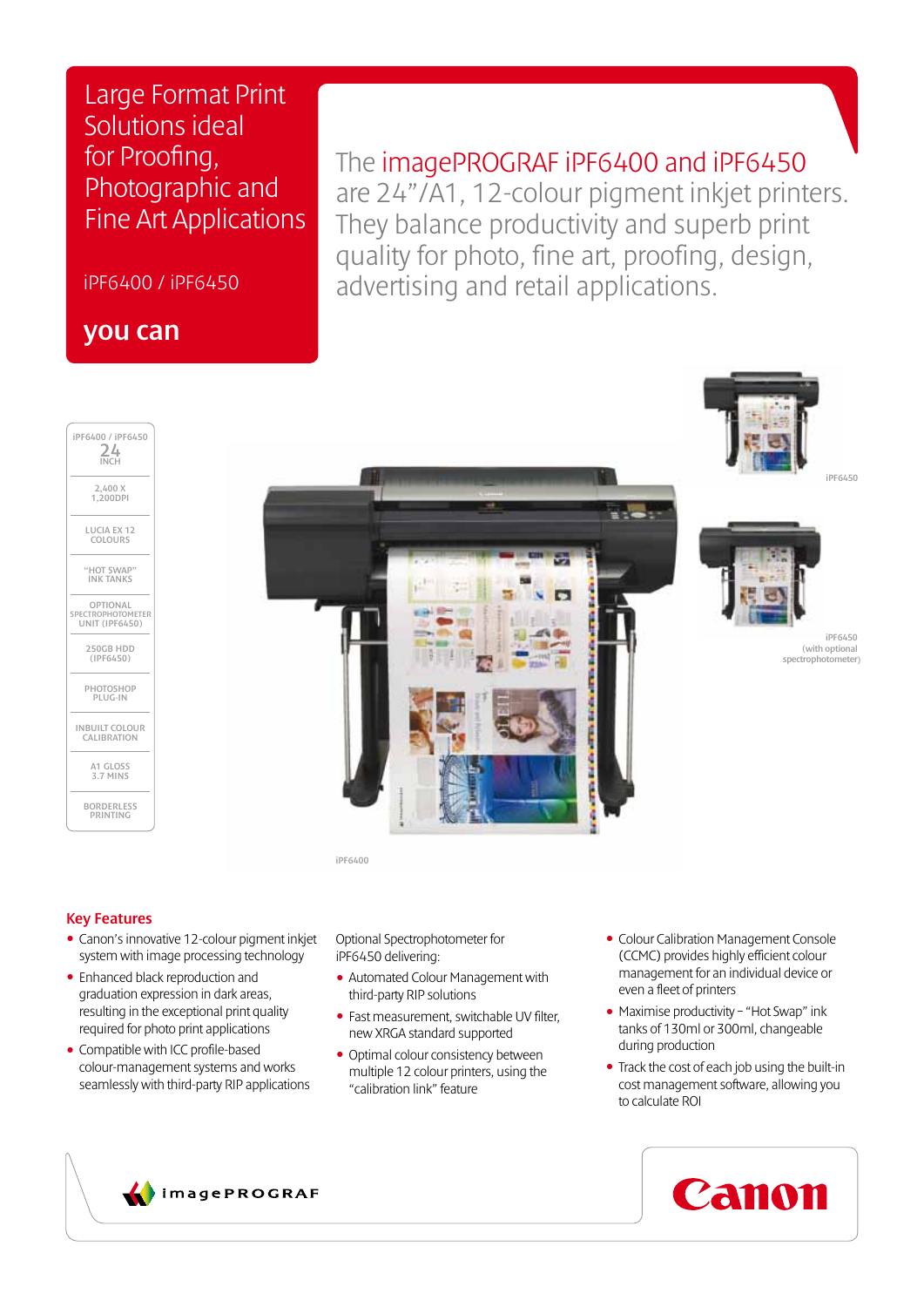Large Format Print Solutions ideal for Proofing, Photographic and Fine Art Applications

iPF6400 / iPF6450

## you can

## The imagePROGRAF iPF6400 and iPF6450

are 24"/A1, 12-colour pigment inkjet printers. They balance productivity and superb print quality for photo, fine art, proofing, design, advertising and retail applications.







## Key Features

- Canon's innovative 12-colour pigment inkjet system with image processing technology
- Enhanced black reproduction and graduation expression in dark areas, resulting in the exceptional print quality required for photo print applications
- Compatible with ICC profile-based colour-management systems and works seamlessly with third-party RIP applications

Optional Spectrophotometer for iPF6450 delivering:

- Automated Colour Management with third-party RIP solutions
- Fast measurement, switchable UV filter, new XRGA standard supported
- Optimal colour consistency between multiple 12 colour printers, using the "calibration link" feature
- Colour Calibration Management Console (CCMC) provides highly efficient colour management for an individual device or even a fleet of printers
- Maximise productivity "Hot Swap" ink tanks of 130ml or 300ml, changeable during production
- Track the cost of each job using the built-in cost management software, allowing you to calculate ROI





iPF6450

iPF6450 (with optional spectrophotometer)